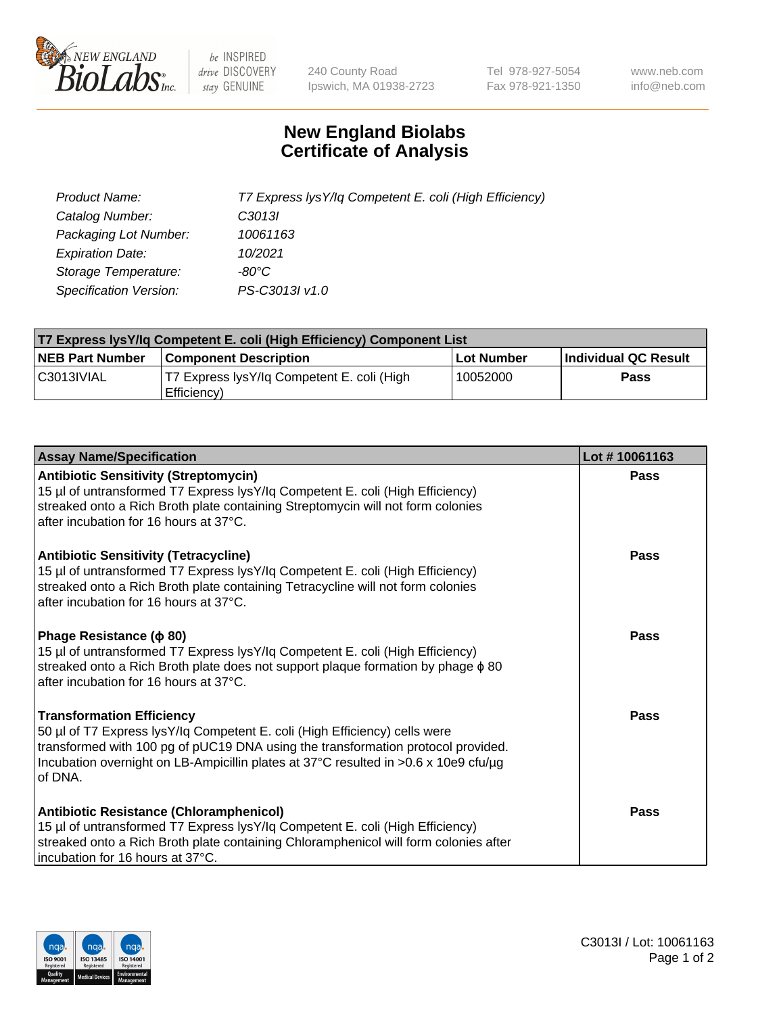

 $be$  INSPIRED drive DISCOVERY stay GENUINE

240 County Road Ipswich, MA 01938-2723 Tel 978-927-5054 Fax 978-921-1350 www.neb.com info@neb.com

## **New England Biolabs Certificate of Analysis**

| Product Name:                 | T7 Express lysY/lq Competent E. coli (High Efficiency) |
|-------------------------------|--------------------------------------------------------|
| Catalog Number:               | C <sub>3013</sub>                                      |
| Packaging Lot Number:         | 10061163                                               |
| <b>Expiration Date:</b>       | 10/2021                                                |
| Storage Temperature:          | -80°C                                                  |
| <b>Specification Version:</b> | PS-C3013I v1.0                                         |

| T7 Express lysY/lq Competent E. coli (High Efficiency) Component List |                                                           |            |                      |  |
|-----------------------------------------------------------------------|-----------------------------------------------------------|------------|----------------------|--|
| <b>NEB Part Number</b>                                                | <b>Component Description</b>                              | Lot Number | Individual QC Result |  |
| C3013IVIAL                                                            | T7 Express lysY/lg Competent E. coli (High<br>Efficiency) | 10052000   | <b>Pass</b>          |  |

| <b>Assay Name/Specification</b>                                                                                                                                                                                                                                                                      | Lot #10061163 |
|------------------------------------------------------------------------------------------------------------------------------------------------------------------------------------------------------------------------------------------------------------------------------------------------------|---------------|
| <b>Antibiotic Sensitivity (Streptomycin)</b><br>15 µl of untransformed T7 Express lysY/lq Competent E. coli (High Efficiency)<br>streaked onto a Rich Broth plate containing Streptomycin will not form colonies<br>after incubation for 16 hours at 37°C.                                           | Pass          |
| <b>Antibiotic Sensitivity (Tetracycline)</b><br>15 µl of untransformed T7 Express lysY/lq Competent E. coli (High Efficiency)<br>streaked onto a Rich Broth plate containing Tetracycline will not form colonies<br>after incubation for 16 hours at 37°C.                                           | Pass          |
| Phage Resistance ( $\phi$ 80)<br>15 µl of untransformed T7 Express lysY/lq Competent E. coli (High Efficiency)<br>streaked onto a Rich Broth plate does not support plaque formation by phage $\phi$ 80<br>after incubation for 16 hours at 37°C.                                                    | Pass          |
| <b>Transformation Efficiency</b><br>50 µl of T7 Express lysY/lq Competent E. coli (High Efficiency) cells were<br>transformed with 100 pg of pUC19 DNA using the transformation protocol provided.<br>Incubation overnight on LB-Ampicillin plates at 37°C resulted in >0.6 x 10e9 cfu/µg<br>of DNA. | Pass          |
| Antibiotic Resistance (Chloramphenicol)<br>15 µl of untransformed T7 Express lysY/lq Competent E. coli (High Efficiency)<br>streaked onto a Rich Broth plate containing Chloramphenicol will form colonies after<br>incubation for 16 hours at 37°C.                                                 | Pass          |